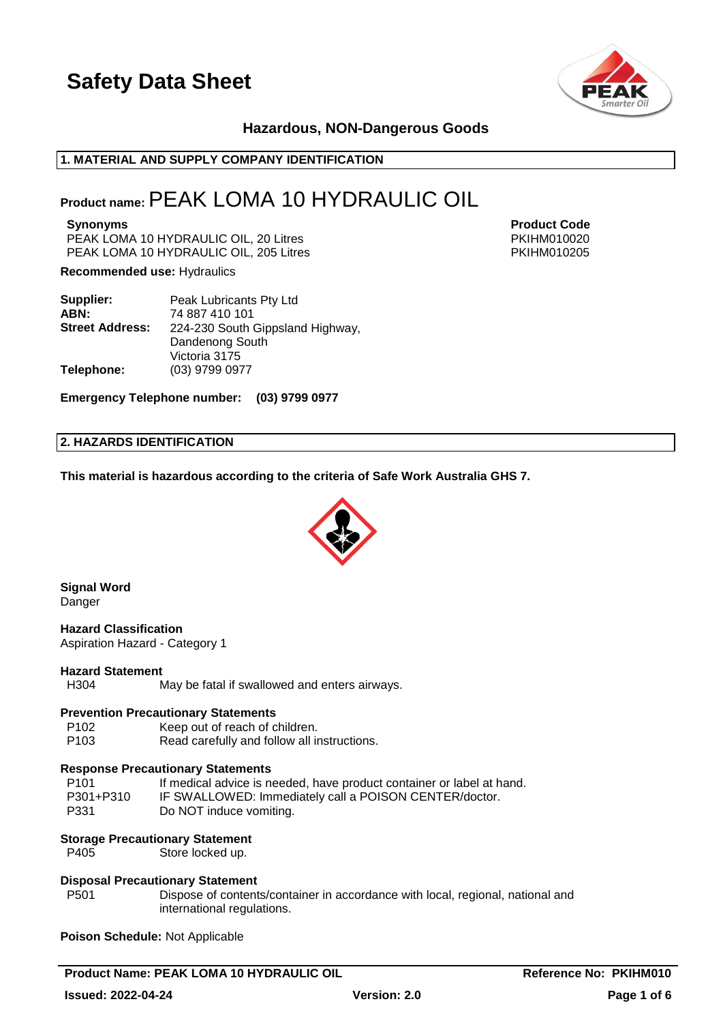

# **Hazardous, NON-Dangerous Goods**

# **1. MATERIAL AND SUPPLY COMPANY IDENTIFICATION**

# **Product name:**PEAK LOMA 10 HYDRAULIC OIL

PEAK LOMA 10 HYDRAULIC OIL, 20 Litres **PEAK LOMA 10 HYDRAULIC OIL**, 20 Litres PEAK LOMA 10 HYDRAULIC OIL, 205 Litres **PEAK LOMA 10 HYDRAULIC OIL**, 205 Litres

**Recommended use:** Hydraulics

| Supplier:              | Peak Lubricants Pty Ltd          |
|------------------------|----------------------------------|
| ABN:                   | 74 887 410 101                   |
| <b>Street Address:</b> | 224-230 South Gippsland Highway, |
|                        | Dandenong South                  |
|                        | Victoria 3175                    |
| Telephone:             | (03) 9799 0977                   |

**Emergency Telephone number: (03) 9799 0977**

#### **2. HAZARDS IDENTIFICATION**

**This material is hazardous according to the criteria of Safe Work Australia GHS 7.**



**Signal Word** Danger

**Hazard Classification** Aspiration Hazard - Category 1

#### **Hazard Statement**

H304 May be fatal if swallowed and enters airways.

#### **Prevention Precautionary Statements**

P102 Keep out of reach of children.<br>P103 Read carefully and follow all in

Read carefully and follow all instructions.

#### **Response Precautionary Statements**

| P <sub>101</sub> | If medical advice is needed, have product container or label at hand. |
|------------------|-----------------------------------------------------------------------|
| P301+P310        | IF SWALLOWED: Immediately call a POISON CENTER/doctor.                |
| P331             | Do NOT induce vomiting.                                               |

#### **Storage Precautionary Statement**

P405 Store locked up.

#### **Disposal Precautionary Statement**

P501 Dispose of contents/container in accordance with local, regional, national and international regulations.

**Poison Schedule:** Not Applicable

**Product Name: PEAK LOMA 10 HYDRAULIC OIL COMPUTE: Reference No: PKIHM010** 

**Synonyms Product Code**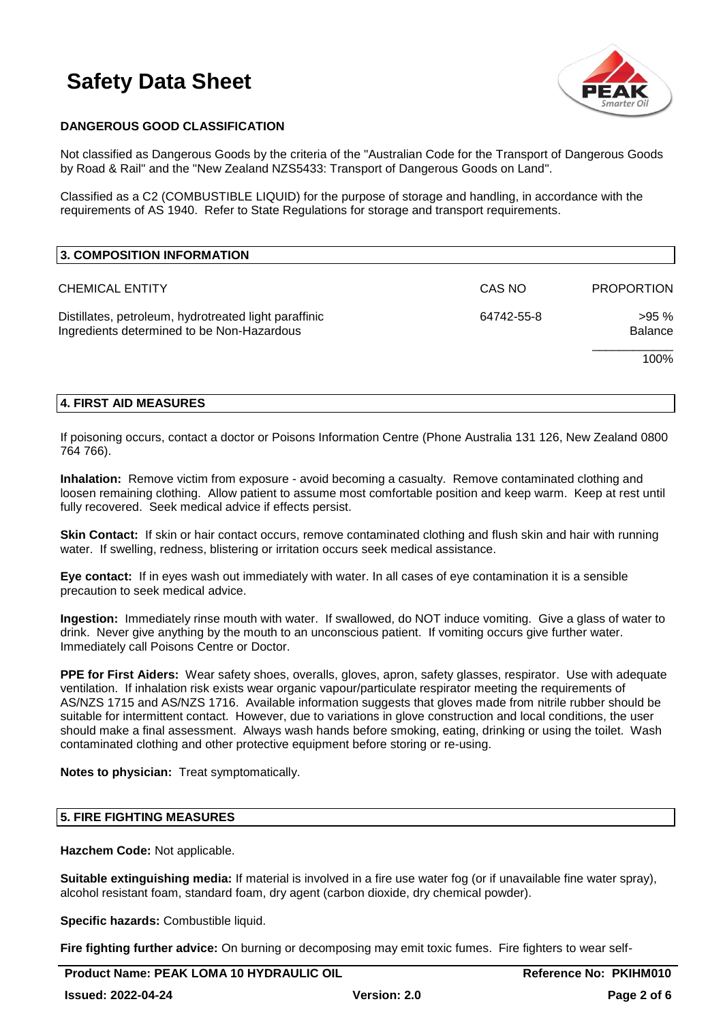

# **DANGEROUS GOOD CLASSIFICATION**

Not classified as Dangerous Goods by the criteria of the "Australian Code for the Transport of Dangerous Goods by Road & Rail" and the "New Zealand NZS5433: Transport of Dangerous Goods on Land".

Classified as a C2 (COMBUSTIBLE LIQUID) for the purpose of storage and handling, in accordance with the requirements of AS 1940. Refer to State Regulations for storage and transport requirements.

| 3. COMPOSITION INFORMATION                                                                          |            |                   |
|-----------------------------------------------------------------------------------------------------|------------|-------------------|
| <b>CHEMICAL ENTITY</b>                                                                              | CAS NO     | <b>PROPORTION</b> |
| Distillates, petroleum, hydrotreated light paraffinic<br>Ingredients determined to be Non-Hazardous | 64742-55-8 | >95%<br>Balance   |
|                                                                                                     |            | 100%              |

# **4. FIRST AID MEASURES**

If poisoning occurs, contact a doctor or Poisons Information Centre (Phone Australia 131 126, New Zealand 0800 764 766).

**Inhalation:** Remove victim from exposure - avoid becoming a casualty. Remove contaminated clothing and loosen remaining clothing. Allow patient to assume most comfortable position and keep warm. Keep at rest until fully recovered. Seek medical advice if effects persist.

**Skin Contact:** If skin or hair contact occurs, remove contaminated clothing and flush skin and hair with running water. If swelling, redness, blistering or irritation occurs seek medical assistance.

**Eye contact:** If in eyes wash out immediately with water. In all cases of eye contamination it is a sensible precaution to seek medical advice.

**Ingestion:** Immediately rinse mouth with water. If swallowed, do NOT induce vomiting. Give a glass of water to drink. Never give anything by the mouth to an unconscious patient. If vomiting occurs give further water. Immediately call Poisons Centre or Doctor.

**PPE for First Aiders:** Wear safety shoes, overalls, gloves, apron, safety glasses, respirator. Use with adequate ventilation. If inhalation risk exists wear organic vapour/particulate respirator meeting the requirements of AS/NZS 1715 and AS/NZS 1716. Available information suggests that gloves made from nitrile rubber should be suitable for intermittent contact. However, due to variations in glove construction and local conditions, the user should make a final assessment. Always wash hands before smoking, eating, drinking or using the toilet. Wash contaminated clothing and other protective equipment before storing or re-using.

**Notes to physician:** Treat symptomatically.

# **5. FIRE FIGHTING MEASURES**

**Hazchem Code:** Not applicable.

**Suitable extinguishing media:** If material is involved in a fire use water fog (or if unavailable fine water spray), alcohol resistant foam, standard foam, dry agent (carbon dioxide, dry chemical powder).

**Specific hazards:** Combustible liquid.

**Fire fighting further advice:** On burning or decomposing may emit toxic fumes. Fire fighters to wear self-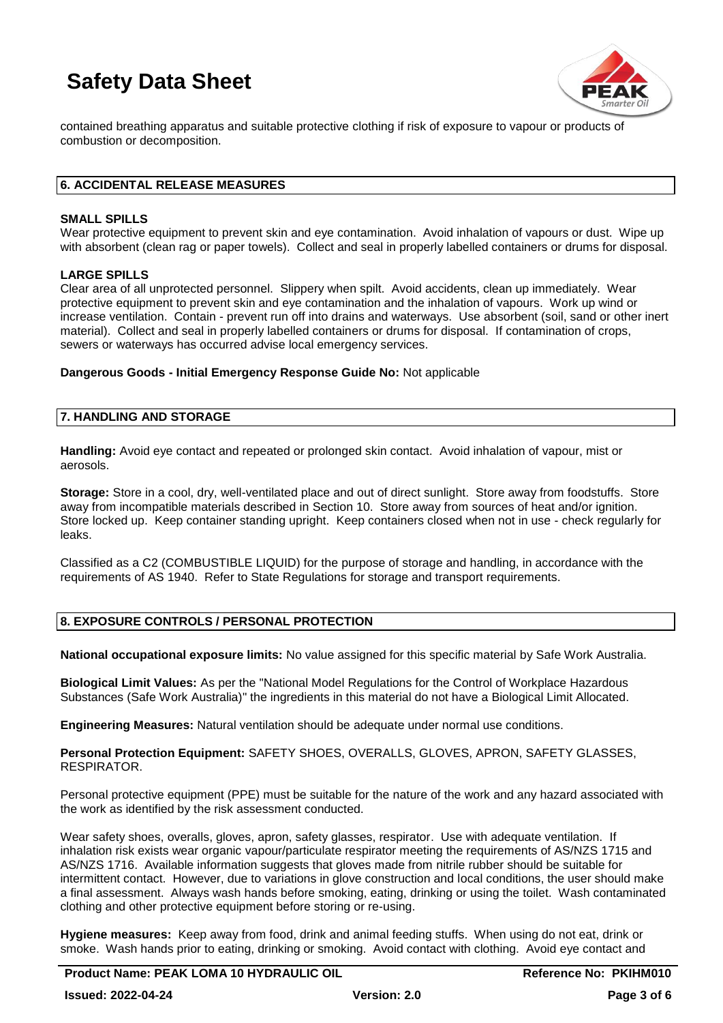

contained breathing apparatus and suitable protective clothing if risk of exposure to vapour or products of combustion or decomposition.

# **6. ACCIDENTAL RELEASE MEASURES**

### **SMALL SPILLS**

Wear protective equipment to prevent skin and eye contamination. Avoid inhalation of vapours or dust. Wipe up with absorbent (clean rag or paper towels). Collect and seal in properly labelled containers or drums for disposal.

### **LARGE SPILLS**

Clear area of all unprotected personnel. Slippery when spilt. Avoid accidents, clean up immediately. Wear protective equipment to prevent skin and eye contamination and the inhalation of vapours. Work up wind or increase ventilation. Contain - prevent run off into drains and waterways. Use absorbent (soil, sand or other inert material). Collect and seal in properly labelled containers or drums for disposal. If contamination of crops, sewers or waterways has occurred advise local emergency services.

**Dangerous Goods - Initial Emergency Response Guide No:** Not applicable

### **7. HANDLING AND STORAGE**

**Handling:** Avoid eye contact and repeated or prolonged skin contact. Avoid inhalation of vapour, mist or aerosols.

**Storage:** Store in a cool, dry, well-ventilated place and out of direct sunlight. Store away from foodstuffs. Store away from incompatible materials described in Section 10. Store away from sources of heat and/or ignition. Store locked up. Keep container standing upright. Keep containers closed when not in use - check regularly for leaks.

Classified as a C2 (COMBUSTIBLE LIQUID) for the purpose of storage and handling, in accordance with the requirements of AS 1940. Refer to State Regulations for storage and transport requirements.

# **8. EXPOSURE CONTROLS / PERSONAL PROTECTION**

**National occupational exposure limits:** No value assigned for this specific material by Safe Work Australia.

**Biological Limit Values:** As per the "National Model Regulations for the Control of Workplace Hazardous Substances (Safe Work Australia)" the ingredients in this material do not have a Biological Limit Allocated.

**Engineering Measures:** Natural ventilation should be adequate under normal use conditions.

**Personal Protection Equipment:** SAFETY SHOES, OVERALLS, GLOVES, APRON, SAFETY GLASSES, RESPIRATOR.

Personal protective equipment (PPE) must be suitable for the nature of the work and any hazard associated with the work as identified by the risk assessment conducted.

Wear safety shoes, overalls, gloves, apron, safety glasses, respirator. Use with adequate ventilation. If inhalation risk exists wear organic vapour/particulate respirator meeting the requirements of AS/NZS 1715 and AS/NZS 1716. Available information suggests that gloves made from nitrile rubber should be suitable for intermittent contact. However, due to variations in glove construction and local conditions, the user should make a final assessment. Always wash hands before smoking, eating, drinking or using the toilet. Wash contaminated clothing and other protective equipment before storing or re-using.

**Hygiene measures:** Keep away from food, drink and animal feeding stuffs. When using do not eat, drink or smoke. Wash hands prior to eating, drinking or smoking. Avoid contact with clothing. Avoid eye contact and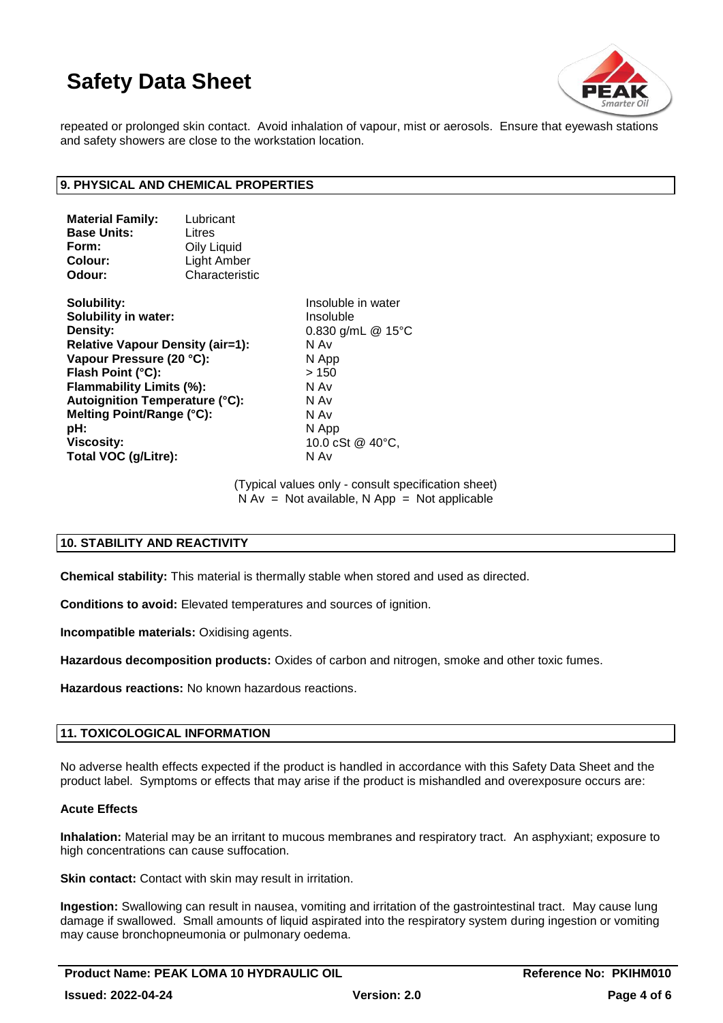

repeated or prolonged skin contact. Avoid inhalation of vapour, mist or aerosols. Ensure that eyewash stations and safety showers are close to the workstation location.

# **9. PHYSICAL AND CHEMICAL PROPERTIES**

| <b>Material Family:</b>                                                                                                                                         | Lubricant                            |                                                  |                                |      |
|-----------------------------------------------------------------------------------------------------------------------------------------------------------------|--------------------------------------|--------------------------------------------------|--------------------------------|------|
| <b>Base Units:</b>                                                                                                                                              | Litres<br>Oily Liquid<br>Light Amber |                                                  |                                |      |
| Form:                                                                                                                                                           |                                      |                                                  |                                |      |
| Colour:                                                                                                                                                         |                                      |                                                  |                                |      |
| Odour:                                                                                                                                                          | Characteristic                       |                                                  |                                |      |
| Solubility:                                                                                                                                                     |                                      | Insolu                                           |                                |      |
| Solubility in water:<br>Density:<br><b>Relative Vapour Density (air=1):</b><br>Vapour Pressure (20 °C):<br>Flash Point (°C):<br><b>Flammability Limits (%):</b> |                                      | Insolu<br>0.830<br>N Av<br>N App<br>>150<br>N Av |                                |      |
|                                                                                                                                                                 |                                      |                                                  | Autoignition Temperature (°C): | N Av |

**nsoluble in water** nsoluble **Density:** 0.830 g/mL @ 15°C **Melting Point/Range (°C):** N Av **pH:** N App **Viscosity:** 10.0 cSt @ 40°C, **Total VOC (g/Litre):** N Av

> (Typical values only - consult specification sheet)  $N Av = Not available, N App = Not applicable$

# **10. STABILITY AND REACTIVITY**

**Chemical stability:** This material is thermally stable when stored and used as directed.

**Conditions to avoid:** Elevated temperatures and sources of ignition.

**Incompatible materials:** Oxidising agents.

**Hazardous decomposition products:** Oxides of carbon and nitrogen, smoke and other toxic fumes.

**Hazardous reactions:** No known hazardous reactions.

# **11. TOXICOLOGICAL INFORMATION**

No adverse health effects expected if the product is handled in accordance with this Safety Data Sheet and the product label. Symptoms or effects that may arise if the product is mishandled and overexposure occurs are:

#### **Acute Effects**

**Inhalation:** Material may be an irritant to mucous membranes and respiratory tract. An asphyxiant; exposure to high concentrations can cause suffocation.

**Skin contact:** Contact with skin may result in irritation.

**Ingestion:** Swallowing can result in nausea, vomiting and irritation of the gastrointestinal tract. May cause lung damage if swallowed. Small amounts of liquid aspirated into the respiratory system during ingestion or vomiting may cause bronchopneumonia or pulmonary oedema.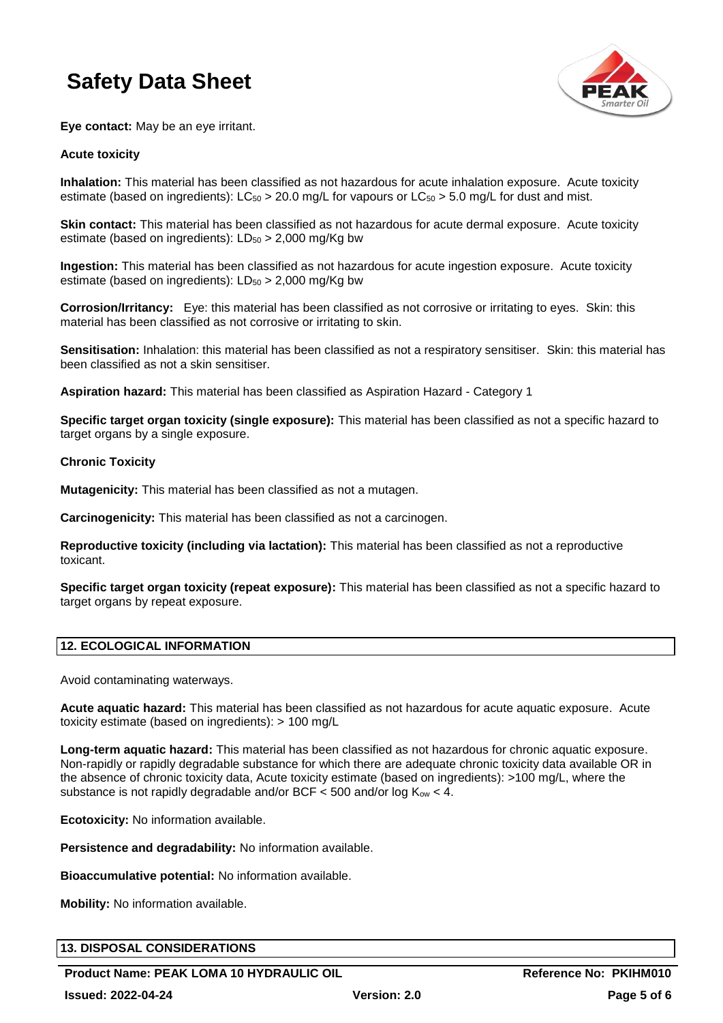

**Eye contact:** May be an eye irritant.

# **Acute toxicity**

**Inhalation:** This material has been classified as not hazardous for acute inhalation exposure. Acute toxicity estimate (based on ingredients):  $LC_{50} > 20.0$  mg/L for vapours or  $LC_{50} > 5.0$  mg/L for dust and mist.

**Skin contact:** This material has been classified as not hazardous for acute dermal exposure. Acute toxicity estimate (based on ingredients):  $LD_{50} > 2,000$  mg/Kg bw

**Ingestion:** This material has been classified as not hazardous for acute ingestion exposure. Acute toxicity estimate (based on ingredients):  $LD_{50} > 2,000$  mg/Kg bw

**Corrosion/Irritancy:** Eye: this material has been classified as not corrosive or irritating to eyes. Skin: this material has been classified as not corrosive or irritating to skin.

**Sensitisation:** Inhalation: this material has been classified as not a respiratory sensitiser. Skin: this material has been classified as not a skin sensitiser.

**Aspiration hazard:** This material has been classified as Aspiration Hazard - Category 1

**Specific target organ toxicity (single exposure):** This material has been classified as not a specific hazard to target organs by a single exposure.

### **Chronic Toxicity**

**Mutagenicity:** This material has been classified as not a mutagen.

**Carcinogenicity:** This material has been classified as not a carcinogen.

**Reproductive toxicity (including via lactation):** This material has been classified as not a reproductive toxicant.

**Specific target organ toxicity (repeat exposure):** This material has been classified as not a specific hazard to target organs by repeat exposure.

# **12. ECOLOGICAL INFORMATION**

Avoid contaminating waterways.

**Acute aquatic hazard:** This material has been classified as not hazardous for acute aquatic exposure. Acute toxicity estimate (based on ingredients): > 100 mg/L

**Long-term aquatic hazard:** This material has been classified as not hazardous for chronic aquatic exposure. Non-rapidly or rapidly degradable substance for which there are adequate chronic toxicity data available OR in the absence of chronic toxicity data, Acute toxicity estimate (based on ingredients): >100 mg/L, where the substance is not rapidly degradable and/or BCF  $<$  500 and/or log K<sub>ow</sub>  $<$  4.

**Ecotoxicity:** No information available.

**Persistence and degradability:** No information available.

**Bioaccumulative potential:** No information available.

**Mobility:** No information available.

# **13. DISPOSAL CONSIDERATIONS**

**Product Name: PEAK LOMA 10 HYDRAULIC OIL COMPUTE: Reference No: PKIHM010**